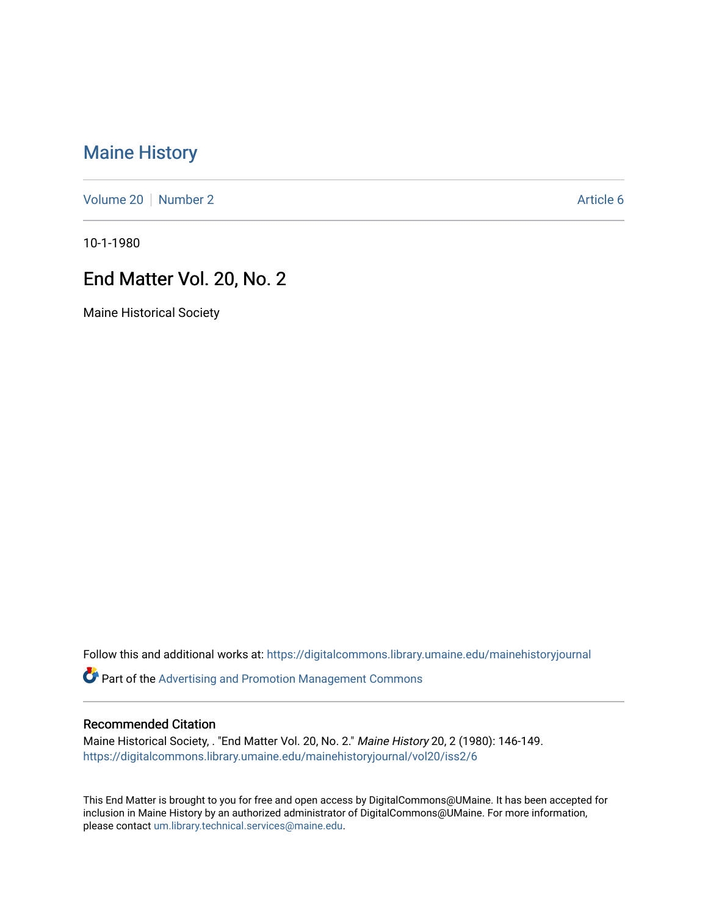# [Maine History](https://digitalcommons.library.umaine.edu/mainehistoryjournal)

[Volume 20](https://digitalcommons.library.umaine.edu/mainehistoryjournal/vol20) [Number 2](https://digitalcommons.library.umaine.edu/mainehistoryjournal/vol20/iss2) Article 6

10-1-1980

## End Matter Vol. 20, No. 2

Maine Historical Society

Follow this and additional works at: [https://digitalcommons.library.umaine.edu/mainehistoryjournal](https://digitalcommons.library.umaine.edu/mainehistoryjournal?utm_source=digitalcommons.library.umaine.edu%2Fmainehistoryjournal%2Fvol20%2Fiss2%2F6&utm_medium=PDF&utm_campaign=PDFCoverPages) 

Part of the [Advertising and Promotion Management Commons](http://network.bepress.com/hgg/discipline/626?utm_source=digitalcommons.library.umaine.edu%2Fmainehistoryjournal%2Fvol20%2Fiss2%2F6&utm_medium=PDF&utm_campaign=PDFCoverPages) 

#### Recommended Citation

Maine Historical Society, . "End Matter Vol. 20, No. 2." Maine History 20, 2 (1980): 146-149. [https://digitalcommons.library.umaine.edu/mainehistoryjournal/vol20/iss2/6](https://digitalcommons.library.umaine.edu/mainehistoryjournal/vol20/iss2/6?utm_source=digitalcommons.library.umaine.edu%2Fmainehistoryjournal%2Fvol20%2Fiss2%2F6&utm_medium=PDF&utm_campaign=PDFCoverPages)

This End Matter is brought to you for free and open access by DigitalCommons@UMaine. It has been accepted for inclusion in Maine History by an authorized administrator of DigitalCommons@UMaine. For more information, please contact [um.library.technical.services@maine.edu.](mailto:um.library.technical.services@maine.edu)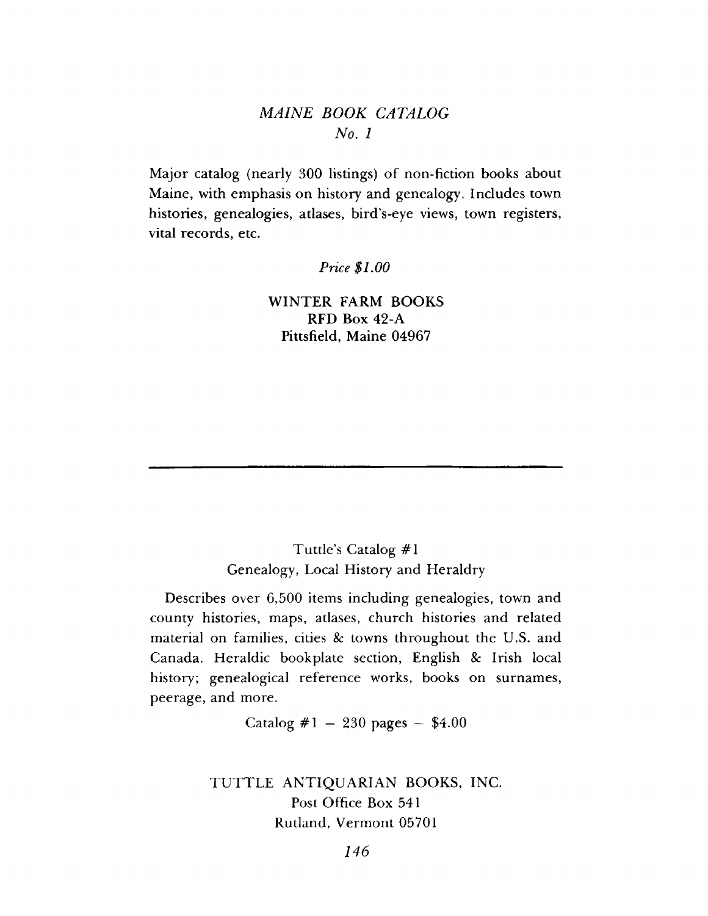### *M AINE BOOK CATALOG No. 1*

Major catalog (nearly 300 listings) of non-fiction books about Maine, with emphasis on history and genealogy. Includes town histories, genealogies, atlases, bird's-eye views, town registers, vital records, etc.

*Price \$1.00*

WINTER FARM BOOKS RFD Box 42-A Pittsfield, Maine 04967

### Tuttle's Catalog #1 Genealogy, Local History and Heraldry

Describes over 6,500 items including genealogies, town and county histories, maps, atlases, church histories and related material on families, cities *8c* towns throughout the U.S. and Canada. Heraldic bookplate section, English *8c* Irish local history; genealogical reference works, books on surnames, peerage, and more.

Catalog  $\#1 - 230$  pages  $-$  \$4.00

TUTTLE ANTIQUARIAN BOOKS, INC. Post Office Box 541 Rutland, Vermont 05701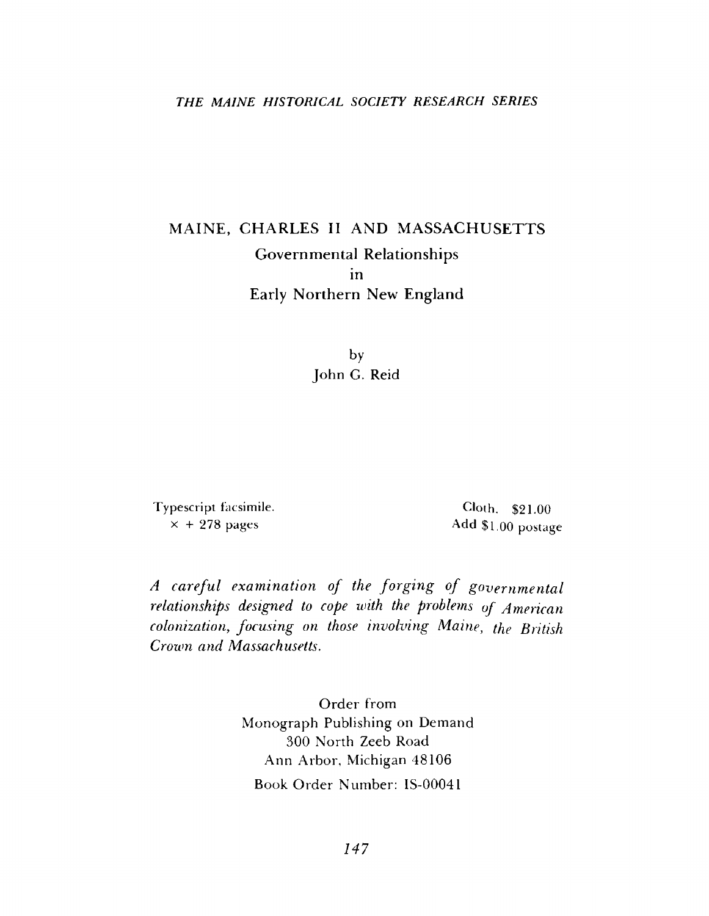#### *THE MAINE HISTORICAL SOCIETY RESEARCH SERIES*

# MAINE, CHARLES II AND MASSACHUSETTS **Governmental Relationships Early Northern New England in**

by John G. Reid

Typescript facsimile,  $\times$  + 278 pages

Cloth. \$21.00 Add \$1.00 postage

A careful examination of the forging of governmental *relationships designed to cope with the problems of American colonization*, *focusing on those involving Maine*, *the British Crown and Massachusetts.*

> Order from Monograph Publishing on Demand 300 North Zeeb Road Ann Arbor, Michigan 48106 Book Order Number: IS-00041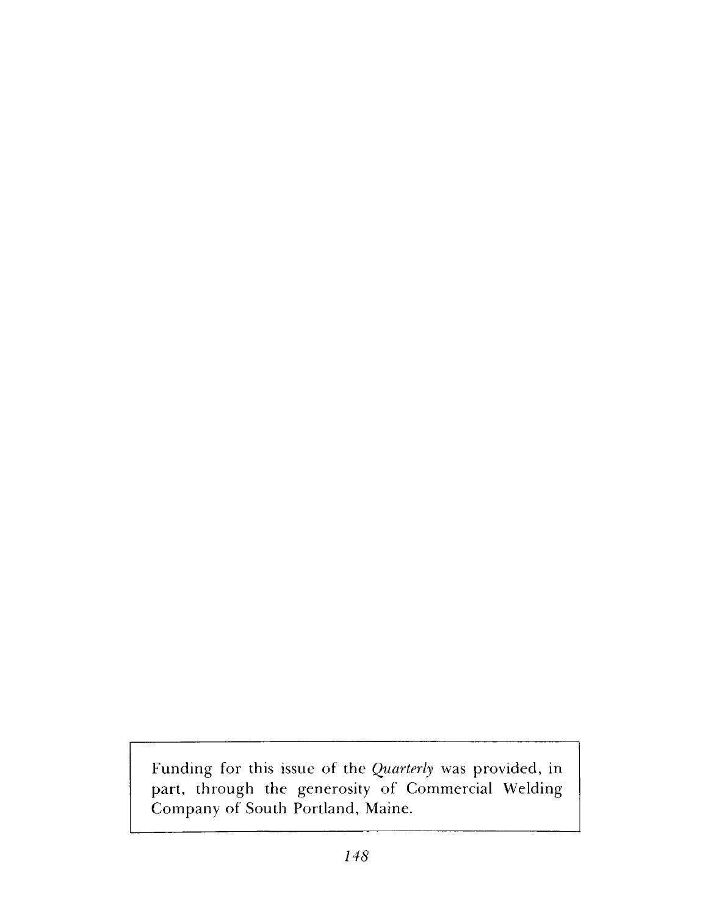Funding for this issue of the *Quarterly* was provided, in part, through the generosity of Commercial Welding Company of South Portland, Maine.